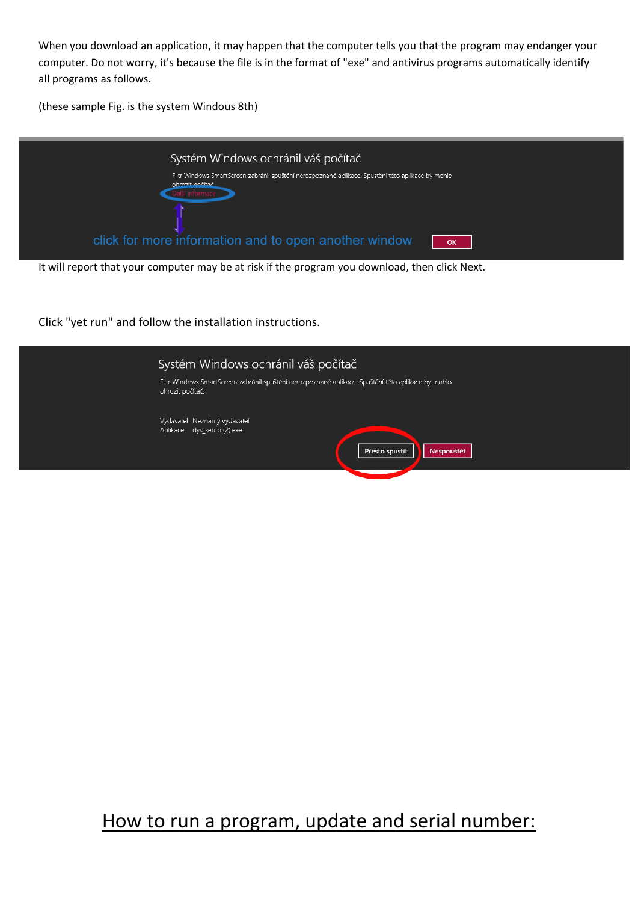When you download an application, it may happen that the computer tells you that the program may endanger your computer. Do not worry, it's because the file is in the format of "exe" and antivirus programs automatically identify all programs as follows.

(these sample Fig. is the system Windous 8th)



It will report that your computer may be at risk if the program you download, then click Next.

Click "yet run" and follow the installation instructions.



# How to run a program, update and serial number: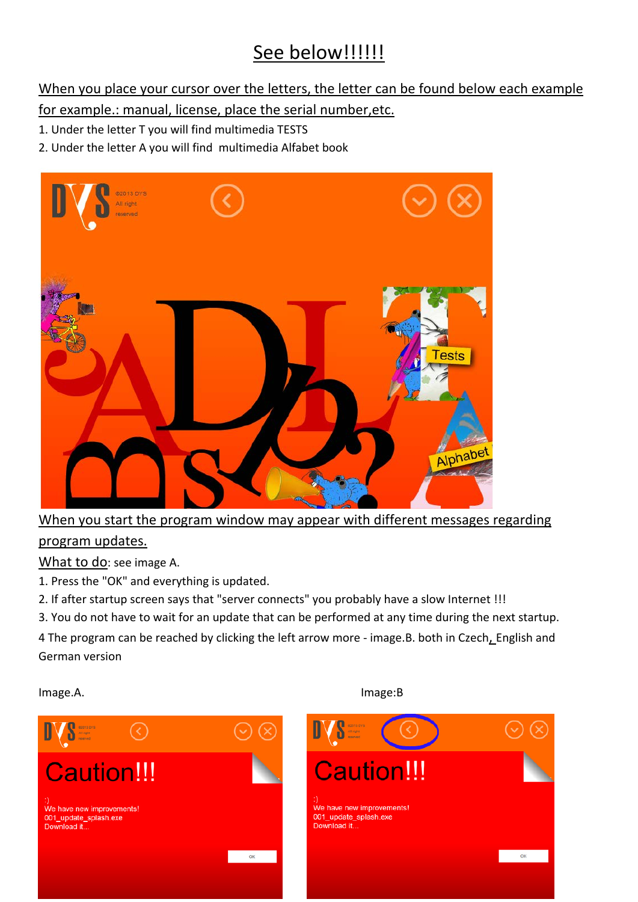# See below!!!!!!!

When you place your cursor over the letters, the letter can be found below each example

for example.: manual, license, place the serial number,etc.

- 1. Under the letter T you will find multimedia TESTS
- 2. Under the letter A you will find multimedia Alfabet book



When you start the program window may appear with different messages regarding

### program updates.

What to do: see image A.

- 1. Press the "OK" and everything is updated.
- 2. If after startup screen says that "server connects" you probably have a slow Internet !!!
- 3. You do not have to wait for an update that can be performed at any time during the next startup.

4 The program can be reached by clicking the left arrow more - image.B. both in Czech, English and German version